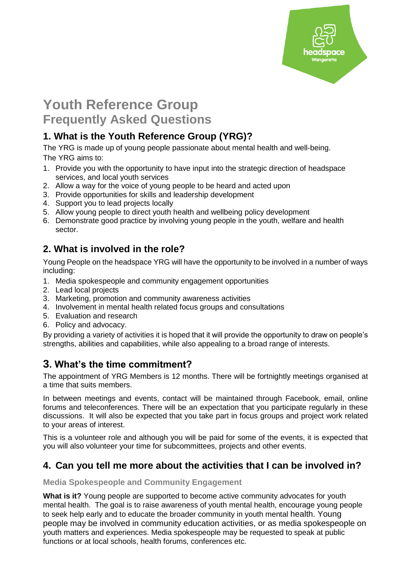

# **Youth Reference Group Frequently Asked Questions**

# **1. What is the Youth Reference Group (YRG)?**

The YRG is made up of young people passionate about mental health and well-being. The YRG aims to:

- 1. Provide you with the opportunity to have input into the strategic direction of headspace services, and local youth services
- 2. Allow a way for the voice of young people to be heard and acted upon
- 3. Provide opportunities for skills and leadership development
- 4. Support you to lead projects locally
- 5. Allow young people to direct youth health and wellbeing policy development
- 6. Demonstrate good practice by involving young people in the youth, welfare and health sector.

# **2. What is involved in the role?**

Young People on the headspace YRG will have the opportunity to be involved in a number of ways including:

- 1. Media spokespeople and community engagement opportunities
- 2. Lead local projects
- 3. Marketing, promotion and community awareness activities
- 4. Involvement in mental health related focus groups and consultations
- 5. Evaluation and research
- 6. Policy and advocacy.

By providing a variety of activities it is hoped that it will provide the opportunity to draw on people's strengths, abilities and capabilities, while also appealing to a broad range of interests.

# **3. What's the time commitment?**

The appointment of YRG Members is 12 months. There will be fortnightly meetings organised at a time that suits members.

In between meetings and events, contact will be maintained through Facebook, email, online forums and teleconferences. There will be an expectation that you participate regularly in these discussions. It will also be expected that you take part in focus groups and project work related to your areas of interest.

This is a volunteer role and although you will be paid for some of the events, it is expected that you will also volunteer your time for subcommittees, projects and other events.

# **4. Can you tell me more about the activities that I can be involved in?**

#### **Media Spokespeople and Community Engagement**

**What is it?** Young people are supported to become active community advocates for youth mental health. The goal is to raise awareness of youth mental health, encourage young people to seek help early and to educate the broader community in youth mental health. Young people may be involved in community education activities, or as media spokespeople on youth matters and experiences. Media spokespeople may be requested to speak at public functions or at local schools, health forums, conferences etc.